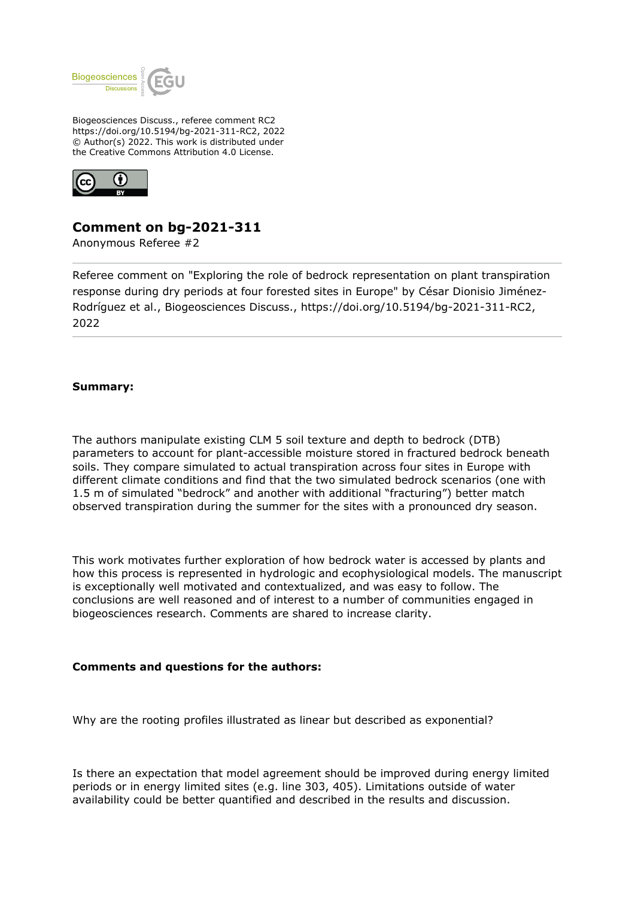

Biogeosciences Discuss., referee comment RC2 https://doi.org/10.5194/bg-2021-311-RC2, 2022 © Author(s) 2022. This work is distributed under the Creative Commons Attribution 4.0 License.



# **Comment on bg-2021-311**

Anonymous Referee #2

Referee comment on "Exploring the role of bedrock representation on plant transpiration response during dry periods at four forested sites in Europe" by César Dionisio Jiménez-Rodríguez et al., Biogeosciences Discuss., https://doi.org/10.5194/bg-2021-311-RC2, 2022

## **Summary:**

The authors manipulate existing CLM 5 soil texture and depth to bedrock (DTB) parameters to account for plant-accessible moisture stored in fractured bedrock beneath soils. They compare simulated to actual transpiration across four sites in Europe with different climate conditions and find that the two simulated bedrock scenarios (one with 1.5 m of simulated "bedrock" and another with additional "fracturing") better match observed transpiration during the summer for the sites with a pronounced dry season.

This work motivates further exploration of how bedrock water is accessed by plants and how this process is represented in hydrologic and ecophysiological models. The manuscript is exceptionally well motivated and contextualized, and was easy to follow. The conclusions are well reasoned and of interest to a number of communities engaged in biogeosciences research. Comments are shared to increase clarity.

### **Comments and questions for the authors:**

Why are the rooting profiles illustrated as linear but described as exponential?

Is there an expectation that model agreement should be improved during energy limited periods or in energy limited sites (e.g. line 303, 405). Limitations outside of water availability could be better quantified and described in the results and discussion.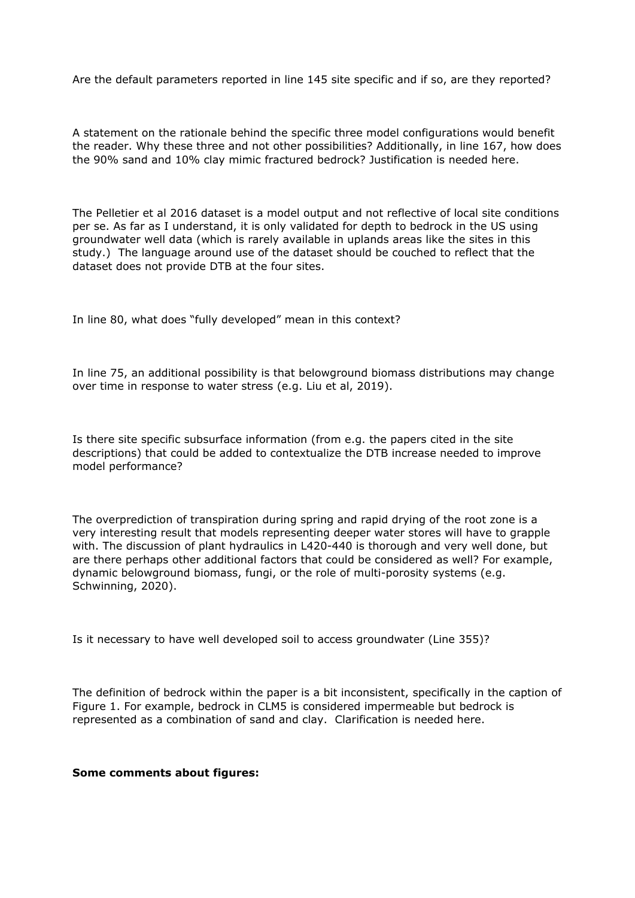Are the default parameters reported in line 145 site specific and if so, are they reported?

A statement on the rationale behind the specific three model configurations would benefit the reader. Why these three and not other possibilities? Additionally, in line 167, how does the 90% sand and 10% clay mimic fractured bedrock? Justification is needed here.

The Pelletier et al 2016 dataset is a model output and not reflective of local site conditions per se. As far as I understand, it is only validated for depth to bedrock in the US using groundwater well data (which is rarely available in uplands areas like the sites in this study.) The language around use of the dataset should be couched to reflect that the dataset does not provide DTB at the four sites.

In line 80, what does "fully developed" mean in this context?

In line 75, an additional possibility is that belowground biomass distributions may change over time in response to water stress (e.g. Liu et al, 2019).

Is there site specific subsurface information (from e.g. the papers cited in the site descriptions) that could be added to contextualize the DTB increase needed to improve model performance?

The overprediction of transpiration during spring and rapid drying of the root zone is a very interesting result that models representing deeper water stores will have to grapple with. The discussion of plant hydraulics in L420-440 is thorough and very well done, but are there perhaps other additional factors that could be considered as well? For example, dynamic belowground biomass, fungi, or the role of multi-porosity systems (e.g. Schwinning, 2020).

Is it necessary to have well developed soil to access groundwater (Line 355)?

The definition of bedrock within the paper is a bit inconsistent, specifically in the caption of Figure 1. For example, bedrock in CLM5 is considered impermeable but bedrock is represented as a combination of sand and clay. Clarification is needed here.

#### **Some comments about figures:**